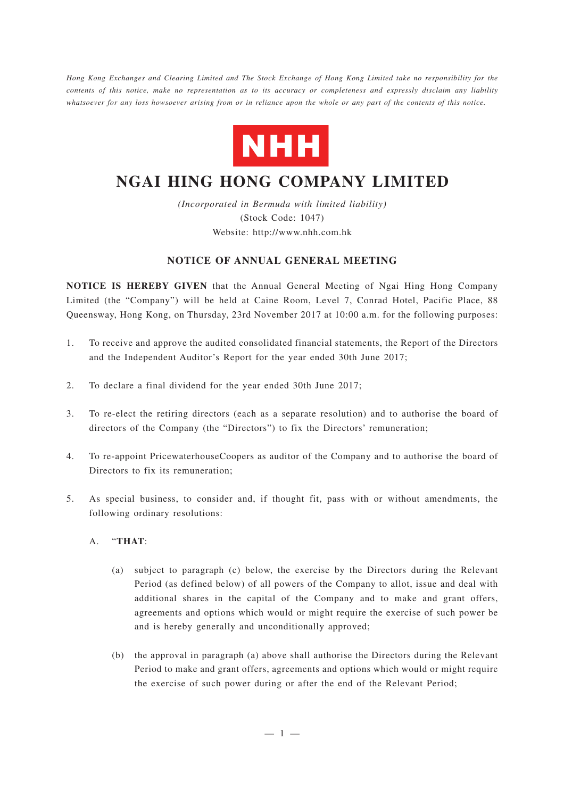*Hong Kong Exchanges and Clearing Limited and The Stock Exchange of Hong Kong Limited take no responsibility for the contents of this notice, make no representation as to its accuracy or completeness and expressly disclaim any liability whatsoever for any loss howsoever arising from or in reliance upon the whole or any part of the contents of this notice.*



# **NGAI HING HONG COMPANY LIMITED**

*(Incorporated in Bermuda with limited liability)* (Stock Code: 1047) Website: http://www.nhh.com.hk

## **NOTICE OF ANNUAL GENERAL MEETING**

**NOTICE IS HEREBY GIVEN** that the Annual General Meeting of Ngai Hing Hong Company Limited (the "Company") will be held at Caine Room, Level 7, Conrad Hotel, Pacific Place, 88 Queensway, Hong Kong, on Thursday, 23rd November 2017 at 10:00 a.m. for the following purposes:

- 1. To receive and approve the audited consolidated financial statements, the Report of the Directors and the Independent Auditor's Report for the year ended 30th June 2017;
- 2. To declare a final dividend for the year ended 30th June 2017;
- 3. To re-elect the retiring directors (each as a separate resolution) and to authorise the board of directors of the Company (the "Directors") to fix the Directors' remuneration;
- 4. To re-appoint PricewaterhouseCoopers as auditor of the Company and to authorise the board of Directors to fix its remuneration;
- 5. As special business, to consider and, if thought fit, pass with or without amendments, the following ordinary resolutions:

### A. "**THAT**:

- (a) subject to paragraph (c) below, the exercise by the Directors during the Relevant Period (as defined below) of all powers of the Company to allot, issue and deal with additional shares in the capital of the Company and to make and grant offers, agreements and options which would or might require the exercise of such power be and is hereby generally and unconditionally approved;
- (b) the approval in paragraph (a) above shall authorise the Directors during the Relevant Period to make and grant offers, agreements and options which would or might require the exercise of such power during or after the end of the Relevant Period;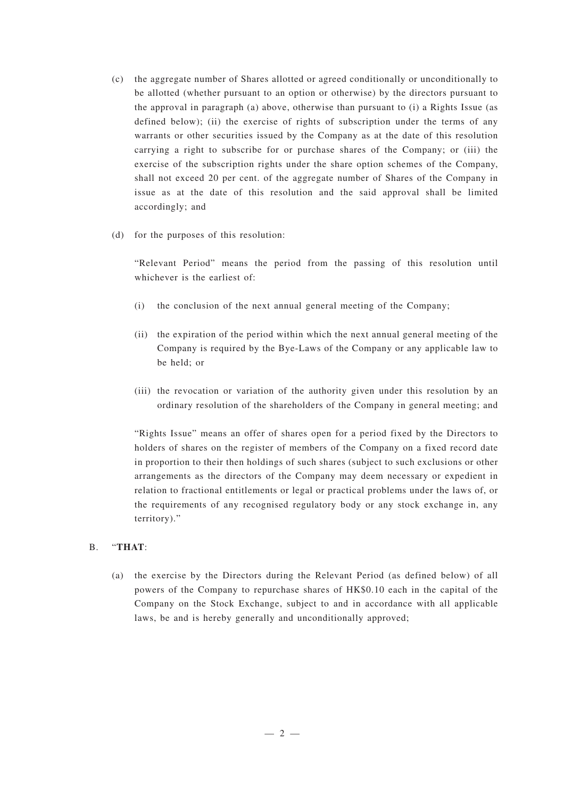- (c) the aggregate number of Shares allotted or agreed conditionally or unconditionally to be allotted (whether pursuant to an option or otherwise) by the directors pursuant to the approval in paragraph (a) above, otherwise than pursuant to (i) a Rights Issue (as defined below); (ii) the exercise of rights of subscription under the terms of any warrants or other securities issued by the Company as at the date of this resolution carrying a right to subscribe for or purchase shares of the Company; or (iii) the exercise of the subscription rights under the share option schemes of the Company, shall not exceed 20 per cent. of the aggregate number of Shares of the Company in issue as at the date of this resolution and the said approval shall be limited accordingly; and
- (d) for the purposes of this resolution:

"Relevant Period" means the period from the passing of this resolution until whichever is the earliest of:

- (i) the conclusion of the next annual general meeting of the Company;
- (ii) the expiration of the period within which the next annual general meeting of the Company is required by the Bye-Laws of the Company or any applicable law to be held; or
- (iii) the revocation or variation of the authority given under this resolution by an ordinary resolution of the shareholders of the Company in general meeting; and

"Rights Issue" means an offer of shares open for a period fixed by the Directors to holders of shares on the register of members of the Company on a fixed record date in proportion to their then holdings of such shares (subject to such exclusions or other arrangements as the directors of the Company may deem necessary or expedient in relation to fractional entitlements or legal or practical problems under the laws of, or the requirements of any recognised regulatory body or any stock exchange in, any territory)."

### B. "**THAT**:

(a) the exercise by the Directors during the Relevant Period (as defined below) of all powers of the Company to repurchase shares of HK\$0.10 each in the capital of the Company on the Stock Exchange, subject to and in accordance with all applicable laws, be and is hereby generally and unconditionally approved;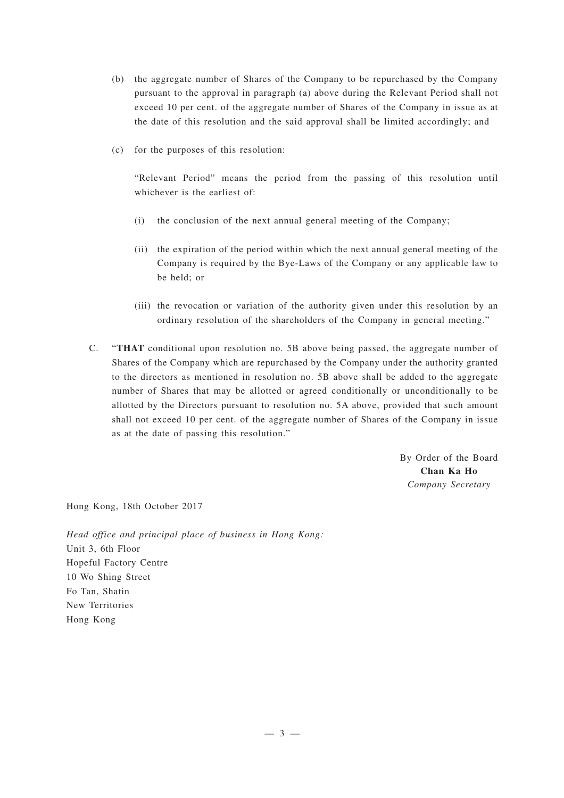- (b) the aggregate number of Shares of the Company to be repurchased by the Company pursuant to the approval in paragraph (a) above during the Relevant Period shall not exceed 10 per cent. of the aggregate number of Shares of the Company in issue as at the date of this resolution and the said approval shall be limited accordingly; and
- (c) for the purposes of this resolution:

"Relevant Period" means the period from the passing of this resolution until whichever is the earliest of:

- (i) the conclusion of the next annual general meeting of the Company;
- (ii) the expiration of the period within which the next annual general meeting of the Company is required by the Bye-Laws of the Company or any applicable law to be held; or
- (iii) the revocation or variation of the authority given under this resolution by an ordinary resolution of the shareholders of the Company in general meeting."
- C. "**THAT** conditional upon resolution no. 5B above being passed, the aggregate number of Shares of the Company which are repurchased by the Company under the authority granted to the directors as mentioned in resolution no. 5B above shall be added to the aggregate number of Shares that may be allotted or agreed conditionally or unconditionally to be allotted by the Directors pursuant to resolution no. 5A above, provided that such amount shall not exceed 10 per cent. of the aggregate number of Shares of the Company in issue as at the date of passing this resolution."

By Order of the Board **Chan Ka Ho** *Company Secretary*

Hong Kong, 18th October 2017

*Head office and principal place of business in Hong Kong:* Unit 3, 6th Floor Hopeful Factory Centre 10 Wo Shing Street Fo Tan, Shatin New Territories Hong Kong